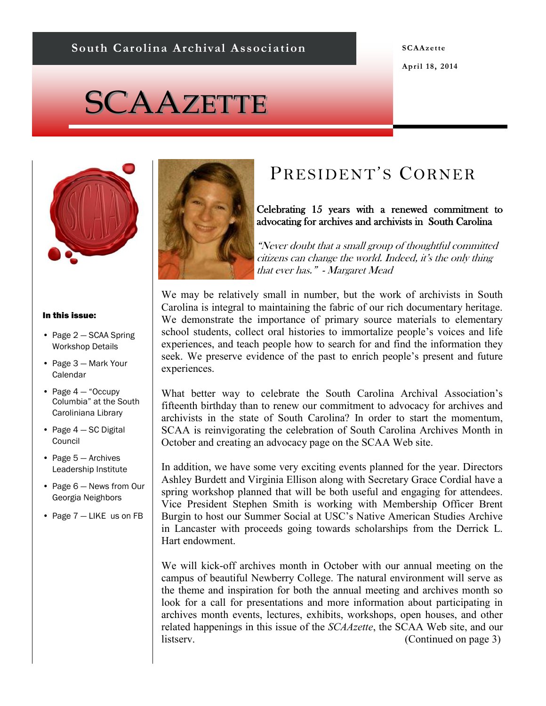#### **SCAAzette**

**April 18, 2014**

# SCAAZETTE



#### In this issue:

- Page 2 SCAA Spring Workshop Details
- Page 3 Mark Your Calendar
- Page  $4 -$  "Occupy Columbia" at the South Caroliniana Library
- Page 4 SC Digital Council
- Page 5 Archives Leadership Institute
- Page 6 News from Our Georgia Neighbors
- Page 7 LIKE us on FB



# PRESIDENT'S CORNER

#### Celebrating 15 years with a renewed commitment to advocating for archives and archivists in South Carolina

"Never doubt that a small group of thoughtful committed citizens can change the world. Indeed, it's the only thing that ever has." - Margaret Mead

We may be relatively small in number, but the work of archivists in South Carolina is integral to maintaining the fabric of our rich documentary heritage. We demonstrate the importance of primary source materials to elementary school students, collect oral histories to immortalize people's voices and life experiences, and teach people how to search for and find the information they seek. We preserve evidence of the past to enrich people's present and future experiences.

What better way to celebrate the South Carolina Archival Association's fifteenth birthday than to renew our commitment to advocacy for archives and archivists in the state of South Carolina? In order to start the momentum, SCAA is reinvigorating the celebration of South Carolina Archives Month in October and creating an advocacy page on the SCAA Web site.

In addition, we have some very exciting events planned for the year. Directors Ashley Burdett and Virginia Ellison along with Secretary Grace Cordial have a spring workshop planned that will be both useful and engaging for attendees. Vice President Stephen Smith is working with Membership Officer Brent Burgin to host our Summer Social at USC's Native American Studies Archive in Lancaster with proceeds going towards scholarships from the Derrick L. Hart endowment.

We will kick-off archives month in October with our annual meeting on the campus of beautiful Newberry College. The natural environment will serve as the theme and inspiration for both the annual meeting and archives month so look for a call for presentations and more information about participating in archives month events, lectures, exhibits, workshops, open houses, and other related happenings in this issue of the *SCAAzette*, the SCAA Web site, and our listserv. (Continued on page 3)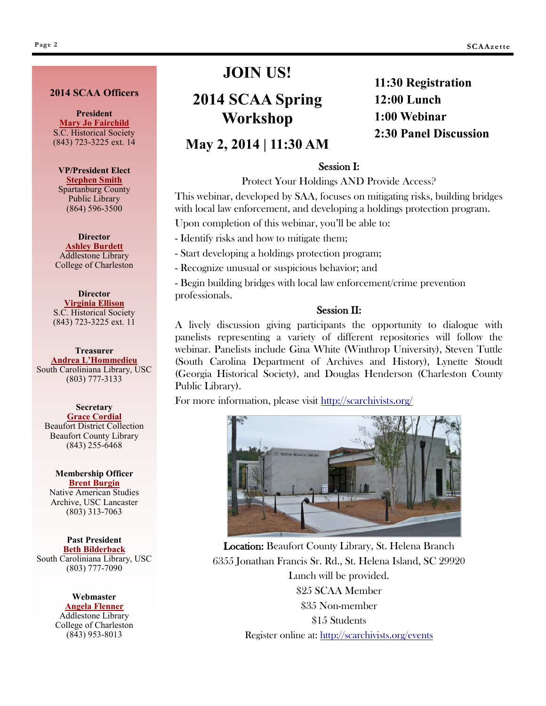#### **2014 SCAA Officers**

**President [Mary Jo Fairchild](mailto:maryjo.fairchild@schsonline.org)** S.C. Historical Society (843) 723-3225 ext. 14

**VP/President Elect [Stephen Smith](mailto:msteves@infodepot.org)** Spartanburg County Public Library (864) 596-3500

**Director [Ashley Burdett](mailto:burdettash@gmail.com)** Addlestone Library College of Charleston

**Director [Virginia Ellison](mailto:virginia.ellison@schsonline.org)** S.C. Historical Society (843) 723-3225 ext. 11

**Treasurer [Andrea L'Hommedieu](mailto:ALHOMME@mailbox.sc.edu)** South Caroliniana Library, USC (803) 777-3133

#### **Secretary [Grace Cordial](mailto:gracec@bcgov.net)** Beaufort District Collection Beaufort County Library (843) 255-6468

**Membership Officer [Brent Burgin](mailto:membership@scarchivists.org)** Native American Studies Archive, USC Lancaster (803) 313-7063

> **Past President [Beth Bilderback](mailto:BILDERBK@mailbox.sc.edu)**

South Caroliniana Library, USC (803) 777-7090

> **Webmaster [Angela Flenner](mailto:FlennerA@cofc.edu)** Addlestone Library College of Charleston (843) 953-8013

## **JOIN US!**

## **2014 SCAA Spring Workshop**

## **11:30 Registration 12:00 Lunch 1:00 Webinar 2:30 Panel Discussion**

## **May 2, 2014 | 11:30 AM**

#### Session I:

Protect Your Holdings AND Provide Access?

This webinar, developed by SAA, focuses on mitigating risks, building bridges with local law enforcement, and developing a holdings protection program.

Upon completion of this webinar, you'll be able to:

- Identify risks and how to mitigate them;

- Start developing a holdings protection program;

- Recognize unusual or suspicious behavior; and

- Begin building bridges with local law enforcement/crime prevention professionals.

#### Session II:

A lively discussion giving participants the opportunity to dialogue with panelists representing a variety of different repositories will follow the webinar. Panelists include Gina White (Winthrop University), Steven Tuttle (South Carolina Department of Archives and History), Lynette Stoudt (Georgia Historical Society), and Douglas Henderson (Charleston County Public Library).

For more information, please visit <http://scarchivists.org/>



Location: Beaufort County Library, St. Helena Branch 6355 Jonathan Francis Sr. Rd., St. Helena Island, SC 29920 Lunch will be provided. \$25 SCAA Member \$35 Non-member \$15 Students Register online at:<http://scarchivists.org/events>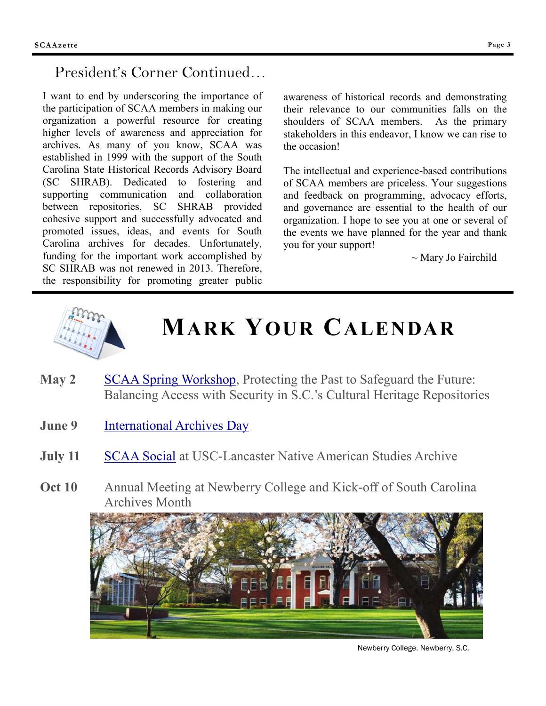## President's Corner Continued…

I want to end by underscoring the importance of the participation of SCAA members in making our organization a powerful resource for creating higher levels of awareness and appreciation for archives. As many of you know, SCAA was established in 1999 with the support of the South Carolina State Historical Records Advisory Board (SC SHRAB). Dedicated to fostering and supporting communication and collaboration between repositories, SC SHRAB provided cohesive support and successfully advocated and promoted issues, ideas, and events for South Carolina archives for decades. Unfortunately, funding for the important work accomplished by SC SHRAB was not renewed in 2013. Therefore, the responsibility for promoting greater public

awareness of historical records and demonstrating their relevance to our communities falls on the shoulders of SCAA members. As the primary stakeholders in this endeavor, I know we can rise to the occasion!

The intellectual and experience-based contributions of SCAA members are priceless. Your suggestions and feedback on programming, advocacy efforts, and governance are essential to the health of our organization. I hope to see you at one or several of the events we have planned for the year and thank you for your support!

~ Mary Jo Fairchild



# **MARK YOUR CALENDAR**

- **May 2** [SCAA Spring Workshop,](http://www.scarchivists.org/images/documents/2014springworkshopflyer.pdf) Protecting the Past to Safeguard the Future: Balancing Access with Security in S.C.'s Cultural Heritage Repositories
- **June 9** [International Archives Day](http://www.ica.org/1561/international-archives-day/about-the-international-archives-day.htmlC:/Users/robbinse1/Documents/My%20Media)
- **July 11 [SCAA Social](http://www.scarchivists.org/component/content/article/36-about/172-spring-workshop-2014) at USC-Lancaster Native American Studies Archive**
- **Oct 10** Annual Meeting at Newberry College and Kick-off of South Carolina Archives Month



Newberry College. Newberry, S.C.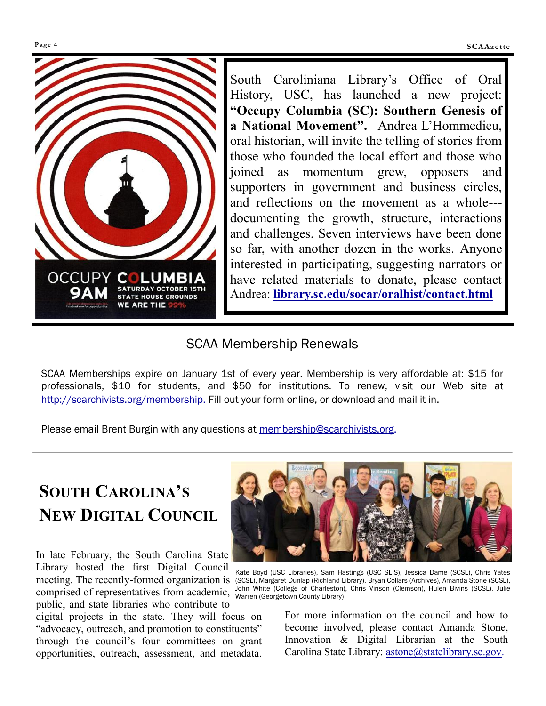

South Caroliniana Library's Office of Oral History, USC, has launched a new project: **"Occupy Columbia (SC): Southern Genesis of a National Movement".** Andrea L'Hommedieu, oral historian, will invite the telling of stories from those who founded the local effort and those who joined as momentum grew, opposers and supporters in government and business circles, and reflections on the movement as a whole-- documenting the growth, structure, interactions and challenges. Seven interviews have been done so far, with another dozen in the works. Anyone interested in participating, suggesting narrators or have related materials to donate, please contact Andrea: **<library.sc.edu/socar/oralhist/contact.html>**

## SCAA Membership Renewals

SCAA Memberships expire on January 1st of every year. Membership is very affordable at: \$15 for professionals, \$10 for students, and \$50 for institutions. To renew, visit our Web site at [http://scarchivists.org/membership.](http://scarchivists.org/membership) Fill out your form online, or download and mail it in.

Please email Brent Burgin with any questions at [membership@scarchivists.org.](mailto:membership@scarchivists.org)

# **SOUTH CAROLINA'S NEW DIGITAL COUNCIL**

In late February, the South Carolina State Library hosted the first Digital Council comprised of representatives from academic, John White (College of Charleston County Library) public, and state libraries who contribute to

digital projects in the state. They will focus on "advocacy, outreach, and promotion to constituents" through the council's four committees on grant opportunities, outreach, assessment, and metadata.



meeting. The recently-formed organization is (SCSL), Margaret Dunlap (Richland Library), Bryan Collars (Archives), Amanda Stone (SCSL), Kate Boyd (USC Libraries), Sam Hastings (USC SLIS), Jessica Dame (SCSL), Chris Yates John White (College of Charleston), Chris Vinson (Clemson), Hulen Bivins (SCSL), Julie

For more information on the council and how to become involved, please contact Amanda Stone, Innovation & Digital Librarian at the South Carolina State Library: [astone@statelibrary.sc.gov.](mailto:astone@statelibrary.sc.gov)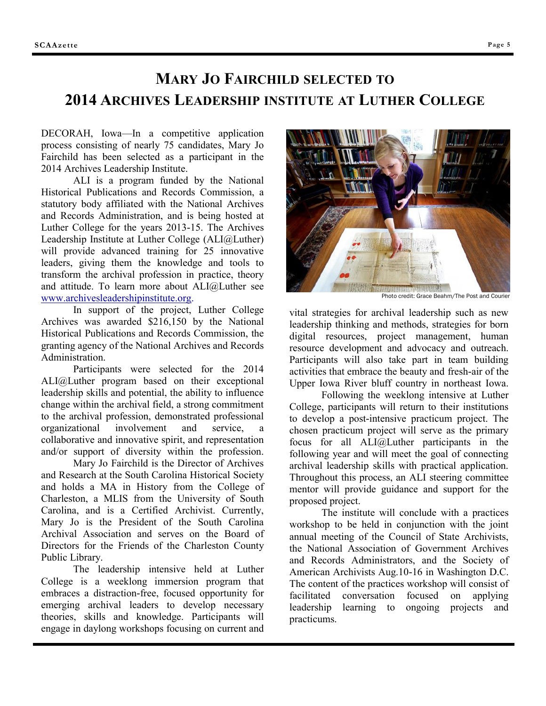## **MARY JO FAIRCHILD SELECTED TO 2014 ARCHIVES LEADERSHIP INSTITUTE AT LUTHER COLLEGE**

DECORAH, Iowa—In a competitive application process consisting of nearly 75 candidates, Mary Jo Fairchild has been selected as a participant in the 2014 Archives Leadership Institute.

ALI is a program funded by the National Historical Publications and Records Commission, a statutory body affiliated with the National Archives and Records Administration, and is being hosted at Luther College for the years 2013-15. The Archives Leadership Institute at Luther College (ALI@Luther) will provide advanced training for 25 innovative leaders, giving them the knowledge and tools to transform the archival profession in practice, theory and attitude. To learn more about ALI@Luther see [www.archivesleadershipinstitute.org.](http://www.archivesleadershipinstitute.org) 

In support of the project, Luther College Archives was awarded \$216,150 by the National Historical Publications and Records Commission, the granting agency of the National Archives and Records Administration.

Participants were selected for the 2014 ALI@Luther program based on their exceptional leadership skills and potential, the ability to influence change within the archival field, a strong commitment to the archival profession, demonstrated professional organizational involvement and service, a collaborative and innovative spirit, and representation and/or support of diversity within the profession.

Mary Jo Fairchild is the Director of Archives and Research at the South Carolina Historical Society and holds a MA in History from the College of Charleston, a MLIS from the University of South Carolina, and is a Certified Archivist. Currently, Mary Jo is the President of the South Carolina Archival Association and serves on the Board of Directors for the Friends of the Charleston County Public Library.

The leadership intensive held at Luther College is a weeklong immersion program that embraces a distraction-free, focused opportunity for emerging archival leaders to develop necessary theories, skills and knowledge. Participants will engage in daylong workshops focusing on current and



Photo credit: Grace Beahm/The Post and Courier

vital strategies for archival leadership such as new leadership thinking and methods, strategies for born digital resources, project management, human resource development and advocacy and outreach. Participants will also take part in team building activities that embrace the beauty and fresh-air of the Upper Iowa River bluff country in northeast Iowa.

Following the weeklong intensive at Luther College, participants will return to their institutions to develop a post-intensive practicum project. The chosen practicum project will serve as the primary focus for all ALI@Luther participants in the following year and will meet the goal of connecting archival leadership skills with practical application. Throughout this process, an ALI steering committee mentor will provide guidance and support for the proposed project.

The institute will conclude with a practices workshop to be held in conjunction with the joint annual meeting of the Council of State Archivists, the National Association of Government Archives and Records Administrators, and the Society of American Archivists Aug.10-16 in Washington D.C. The content of the practices workshop will consist of facilitated conversation focused on applying leadership learning to ongoing projects and practicums.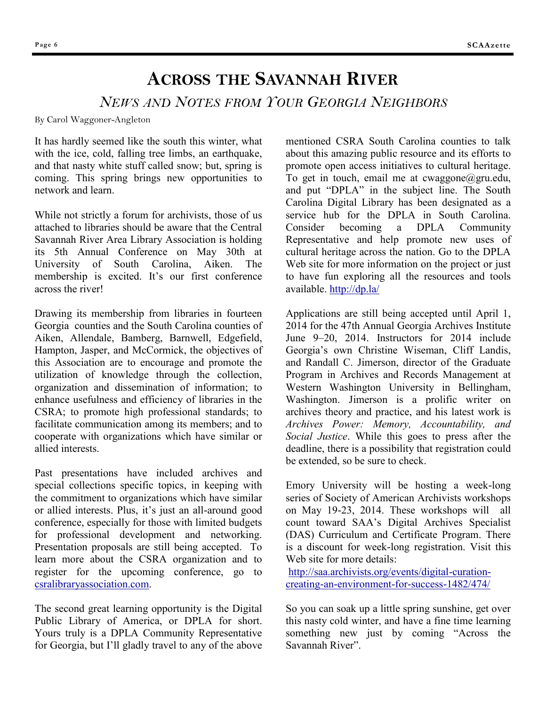# **ACROSS THE SAVANNAH RIVER**

## *NEWS AND NOTES FROM YOUR GEORGIA NEIGHBORS*

By Carol Waggoner-Angleton

It has hardly seemed like the south this winter, what with the ice, cold, falling tree limbs, an earthquake, and that nasty white stuff called snow; but, spring is coming. This spring brings new opportunities to network and learn.

While not strictly a forum for archivists, those of us attached to libraries should be aware that the Central Savannah River Area Library Association is holding its 5th Annual Conference on May 30th at University of South Carolina, Aiken. The membership is excited. It's our first conference across the river!

Drawing its membership from libraries in fourteen Georgia counties and the South Carolina counties of Aiken, Allendale, Bamberg, Barnwell, Edgefield, Hampton, Jasper, and McCormick, the objectives of this Association are to encourage and promote the utilization of knowledge through the collection, organization and dissemination of information; to enhance usefulness and efficiency of libraries in the CSRA; to promote high professional standards; to facilitate communication among its members; and to cooperate with organizations which have similar or allied interests.

Past presentations have included archives and special collections specific topics, in keeping with the commitment to organizations which have similar or allied interests. Plus, it's just an all-around good conference, especially for those with limited budgets for professional development and networking. Presentation proposals are still being accepted. To learn more about the CSRA organization and to register for the upcoming conference, go to [csralibraryassociation.com.](http://csralibraryassociation.com/)

The second great learning opportunity is the Digital Public Library of America, or DPLA for short. Yours truly is a DPLA Community Representative for Georgia, but I'll gladly travel to any of the above

mentioned CSRA South Carolina counties to talk about this amazing public resource and its efforts to promote open access initiatives to cultural heritage. To get in touch, email me at cwaggone@gru.edu, and put "DPLA" in the subject line. The South Carolina Digital Library has been designated as a service hub for the DPLA in South Carolina. Consider becoming a DPLA Community Representative and help promote new uses of cultural heritage across the nation. Go to the DPLA Web site for more information on the project or just to have fun exploring all the resources and tools available. <http://dp.la/>

Applications are still being accepted until April 1, 2014 for the 47th Annual Georgia Archives Institute June 9–20, 2014. Instructors for 2014 include Georgia's own Christine Wiseman, Cliff Landis, and Randall C. Jimerson, director of the Graduate Program in Archives and Records Management at Western Washington University in Bellingham, Washington. Jimerson is a prolific writer on archives theory and practice, and his latest work is *Archives Power: Memory, Accountability, and Social Justice*. While this goes to press after the deadline, there is a possibility that registration could be extended, so be sure to check.

Emory University will be hosting a week-long series of Society of American Archivists workshops on May 19-23, 2014. These workshops will all count toward SAA's Digital Archives Specialist (DAS) Curriculum and Certificate Program. There is a discount for week-long registration. Visit this Web site for more details:

[http://saa.archivists.org/events/digital-curation](http://saa.archivists.org/events/digital-curation-creating-an-environment-for-success-1482/474/)[creating-an-environment-for-success-1482/474/](http://saa.archivists.org/events/digital-curation-creating-an-environment-for-success-1482/474/)

So you can soak up a little spring sunshine, get over this nasty cold winter, and have a fine time learning something new just by coming "Across the Savannah River".